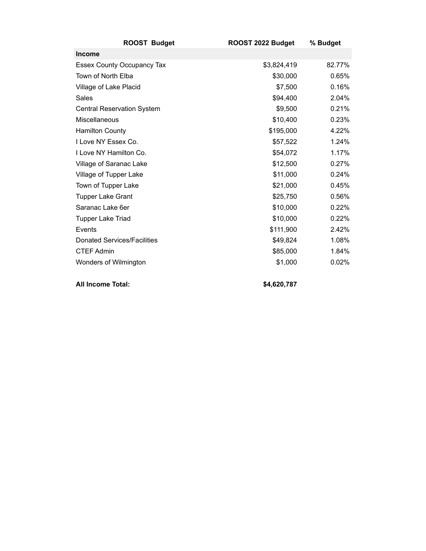| <b>ROOST Budget</b>                | ROOST 2022 Budget | % Budget |
|------------------------------------|-------------------|----------|
| <b>Income</b>                      |                   |          |
| <b>Essex County Occupancy Tax</b>  | \$3,824,419       | 82.77%   |
| Town of North Elba                 | \$30,000          | 0.65%    |
| Village of Lake Placid             | \$7,500           | 0.16%    |
| Sales                              | \$94,400          | 2.04%    |
| <b>Central Reservation System</b>  | \$9,500           | 0.21%    |
| Miscellaneous                      | \$10,400          | 0.23%    |
| <b>Hamilton County</b>             | \$195,000         | 4.22%    |
| I Love NY Essex Co.                | \$57,522          | 1.24%    |
| I Love NY Hamilton Co.             | \$54,072          | 1.17%    |
| Village of Saranac Lake            | \$12,500          | 0.27%    |
| Village of Tupper Lake             | \$11,000          | 0.24%    |
| Town of Tupper Lake                | \$21,000          | 0.45%    |
| <b>Tupper Lake Grant</b>           | \$25,750          | 0.56%    |
| Saranac Lake 6er                   | \$10,000          | 0.22%    |
| <b>Tupper Lake Triad</b>           | \$10,000          | 0.22%    |
| Events                             | \$111,900         | 2.42%    |
| <b>Donated Services/Facilities</b> | \$49,824          | 1.08%    |
| <b>CTEF Admin</b>                  | \$85,000          | 1.84%    |
| Wonders of Wilmington              | \$1,000           | 0.02%    |
| <b>All Income Total:</b>           | \$4,620,787       |          |